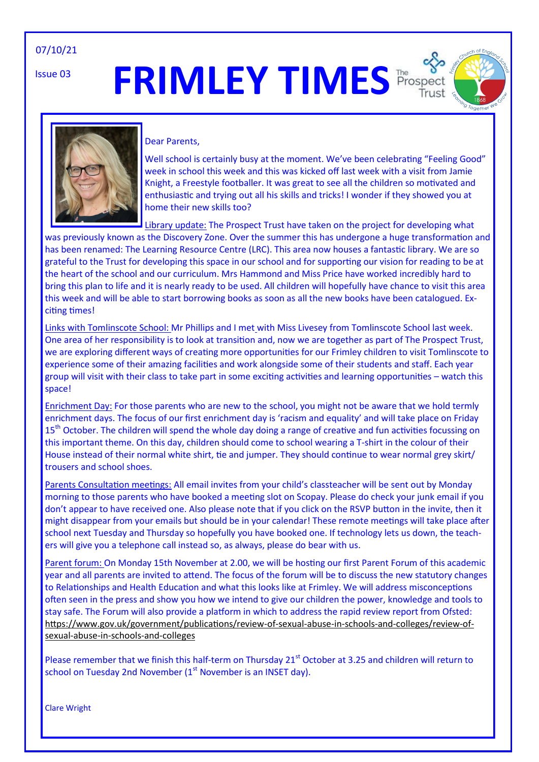#### 07/10/21

Issue 03

# **FRIMLEY TIMES Prospect**





#### Dear Parents,

Well school is certainly busy at the moment. We've been celebrating "Feeling Good" week in school this week and this was kicked off last week with a visit from Jamie Knight, a Freestyle footballer. It was great to see all the children so motivated and enthusiastic and trying out all his skills and tricks! I wonder if they showed you at home their new skills too?

Library update: The Prospect Trust have taken on the project for developing what

was previously known as the Discovery Zone. Over the summer this has undergone a huge transformation and has been renamed: The Learning Resource Centre (LRC). This area now houses a fantastic library. We are so grateful to the Trust for developing this space in our school and for supporting our vision for reading to be at the heart of the school and our curriculum. Mrs Hammond and Miss Price have worked incredibly hard to bring this plan to life and it is nearly ready to be used. All children will hopefully have chance to visit this area this week and will be able to start borrowing books as soon as all the new books have been catalogued. Exciting times!

Links with Tomlinscote School: Mr Phillips and I met with Miss Livesey from Tomlinscote School last week. One area of her responsibility is to look at transition and, now we are together as part of The Prospect Trust, we are exploring different ways of creating more opportunities for our Frimley children to visit Tomlinscote to experience some of their amazing facilities and work alongside some of their students and staff. Each year group will visit with their class to take part in some exciting activities and learning opportunities – watch this space!

Enrichment Day: For those parents who are new to the school, you might not be aware that we hold termly enrichment days. The focus of our first enrichment day is 'racism and equality' and will take place on Friday 15<sup>th</sup> October. The children will spend the whole day doing a range of creative and fun activities focussing on this important theme. On this day, children should come to school wearing a T-shirt in the colour of their House instead of their normal white shirt, tie and jumper. They should continue to wear normal grey skirt/ trousers and school shoes.

Parents Consultation meetings: All email invites from your child's classteacher will be sent out by Monday morning to those parents who have booked a meeting slot on Scopay. Please do check your junk email if you don't appear to have received one. Also please note that if you click on the RSVP button in the invite, then it might disappear from your emails but should be in your calendar! These remote meetings will take place after school next Tuesday and Thursday so hopefully you have booked one. If technology lets us down, the teachers will give you a telephone call instead so, as always, please do bear with us.

Parent forum: On Monday 15th November at 2.00, we will be hosting our first Parent Forum of this academic year and all parents are invited to attend. The focus of the forum will be to discuss the new statutory changes to Relationships and Health Education and what this looks like at Frimley. We will address misconceptions often seen in the press and show you how we intend to give our children the power, knowledge and tools to stay safe. The Forum will also provide a platform in which to address the rapid review report from Ofsted: [https://www.gov.uk/government/publications/review](https://www.gov.uk/government/publications/review-of-sexual-abuse-in-schools-and-colleges/review-of-sexual-abuse-in-schools-and-colleges)-of-sexual-abuse-in-schools-and-colleges/review-ofsexual-abuse-in-schools-and-[colleges](https://www.gov.uk/government/publications/review-of-sexual-abuse-in-schools-and-colleges/review-of-sexual-abuse-in-schools-and-colleges)

Please remember that we finish this half-term on Thursday 21<sup>st</sup> October at 3.25 and children will return to school on Tuesday 2nd November  $(1<sup>st</sup>$  November is an INSET day).

Clare Wright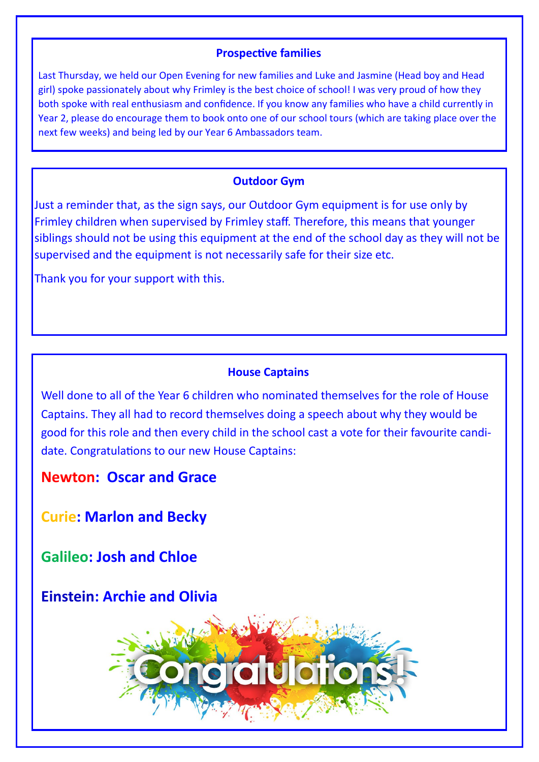### **Prospective families**

Last Thursday, we held our Open Evening for new families and Luke and Jasmine (Head boy and Head girl) spoke passionately about why Frimley is the best choice of school! I was very proud of how they both spoke with real enthusiasm and confidence. If you know any families who have a child currently in Year 2, please do encourage them to book onto one of our school tours (which are taking place over the next few weeks) and being led by our Year 6 Ambassadors team.

# **Outdoor Gym**

Just a reminder that, as the sign says, our Outdoor Gym equipment is for use only by Frimley children when supervised by Frimley staff. Therefore, this means that younger siblings should not be using this equipment at the end of the school day as they will not be supervised and the equipment is not necessarily safe for their size etc.

Thank you for your support with this.

# **House Captains**

Well done to all of the Year 6 children who nominated themselves for the role of House Captains. They all had to record themselves doing a speech about why they would be good for this role and then every child in the school cast a vote for their favourite candidate. Congratulations to our new House Captains:

**Newton: Oscar and Grace** 

**Curie: Marlon and Becky**

**Galileo: Josh and Chloe** 

**Einstein: Archie and Olivia** 

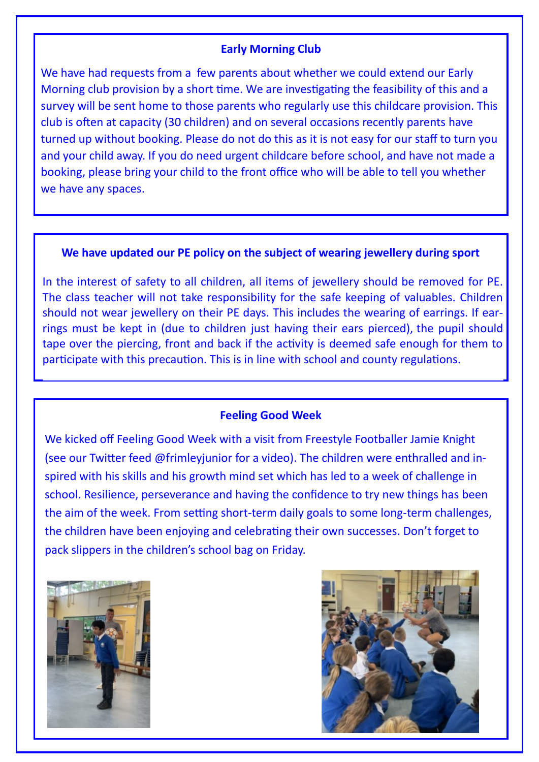### **Early Morning Club**

We have had requests from a few parents about whether we could extend our Early Morning club provision by a short time. We are investigating the feasibility of this and a survey will be sent home to those parents who regularly use this childcare provision. This club is often at capacity (30 children) and on several occasions recently parents have turned up without booking. Please do not do this as it is not easy for our staff to turn you and your child away. If you do need urgent childcare before school, and have not made a booking, please bring your child to the front office who will be able to tell you whether we have any spaces.

#### **We have updated our PE policy on the subject of wearing jewellery during sport**

In the interest of safety to all children, all items of jewellery should be removed for PE. The class teacher will not take responsibility for the safe keeping of valuables. Children should not wear jewellery on their PE days. This includes the wearing of earrings. If earrings must be kept in (due to children just having their ears pierced), the pupil should tape over the piercing, front and back if the activity is deemed safe enough for them to participate with this precaution. This is in line with school and county regulations.

#### **Feeling Good Week**

We kicked off Feeling Good Week with a visit from Freestyle Footballer Jamie Knight (see our Twitter feed @frimleyjunior for a video). The children were enthralled and inspired with his skills and his growth mind set which has led to a week of challenge in school. Resilience, perseverance and having the confidence to try new things has been the aim of the week. From setting short-term daily goals to some long-term challenges, the children have been enjoying and celebrating their own successes. Don't forget to pack slippers in the children's school bag on Friday.